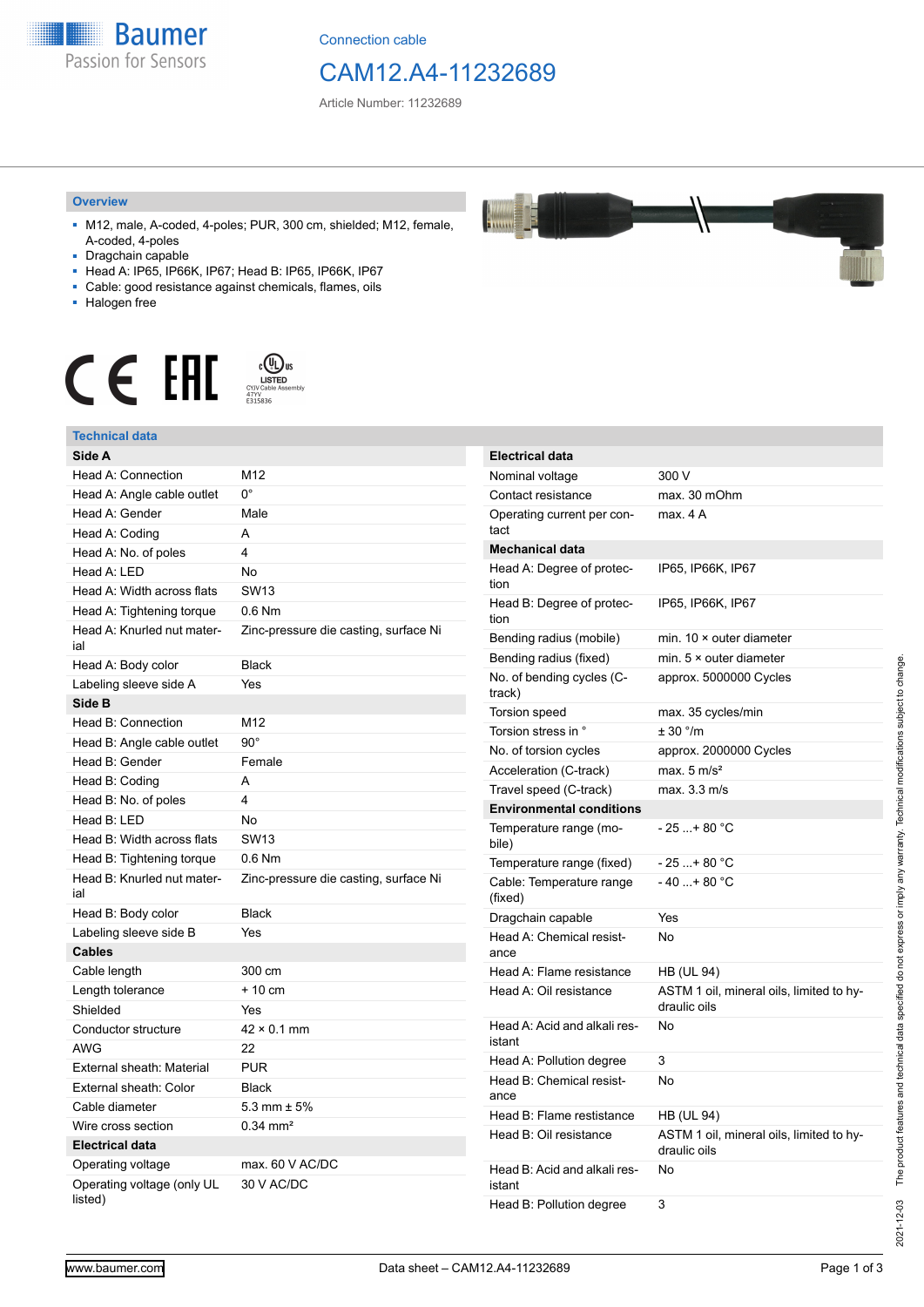

Connection cable

# CAM12.A4-11232689

**Electrical data**

Article Number: 11232689

#### **Overview**

- M12, male, A-coded, 4-poles; PUR, 300 cm, shielded; M12, female, A-coded, 4-poles
- Dragchain capable
- Head A: IP65, IP66K, IP67; Head B: IP65, IP66K, IP67
- Cable: good resistance against chemicals, flames, oils
- Halogen free



#### **Technical data**

| Technical data                        |                                       |
|---------------------------------------|---------------------------------------|
| Side A                                |                                       |
| Head A: Connection                    | M12                                   |
| Head A: Angle cable outlet            | 0°                                    |
| Head A: Gender                        | Male                                  |
| Head A: Coding                        | A                                     |
| Head A: No. of poles                  | 4                                     |
| Head A: LED                           | <b>No</b>                             |
| Head A: Width across flats            | SW13                                  |
| Head A: Tightening torque             | $0.6$ Nm                              |
| Head A: Knurled nut mater-<br>ial     | Zinc-pressure die casting, surface Ni |
| Head A: Body color                    | <b>Black</b>                          |
| Labeling sleeve side A                | Yes                                   |
| Side B                                |                                       |
| Head B: Connection                    | M12                                   |
| Head B: Angle cable outlet            | $90^\circ$                            |
| Head B: Gender                        | Female                                |
| Head B: Coding                        | A                                     |
| Head B: No. of poles                  | 4                                     |
| Head B: LED                           | No                                    |
| Head B: Width across flats            | <b>SW13</b>                           |
| Head B: Tightening torque             | $0.6$ Nm                              |
| Head B: Knurled nut mater-<br>ial     | Zinc-pressure die casting, surface Ni |
| Head B: Body color                    | <b>Black</b>                          |
| Labeling sleeve side B                | Yes                                   |
| <b>Cables</b>                         |                                       |
| Cable length                          | 300 cm                                |
| Length tolerance                      | $+10$ cm                              |
| Shielded                              | Yes                                   |
| Conductor structure                   | $42 \times 0.1$ mm                    |
| <b>AWG</b>                            | 22                                    |
| External sheath: Material             | <b>PUR</b>                            |
| External sheath: Color                | <b>Black</b>                          |
| Cable diameter                        | 5.3 mm $\pm$ 5%                       |
| Wire cross section                    | $0.34$ mm <sup>2</sup>                |
| <b>Electrical data</b>                |                                       |
| Operating voltage                     | max. $60$ V AC/DC                     |
| Operating voltage (only UL<br>listed) | 30 V AC/DC                            |

| Nominal voltage                        | 300 V                                                    |
|----------------------------------------|----------------------------------------------------------|
| Contact resistance                     | max. 30 mOhm                                             |
| Operating current per con-<br>tact     | max. 4 A                                                 |
| <b>Mechanical data</b>                 |                                                          |
| Head A: Degree of protec-<br>tion      | IP65, IP66K, IP67                                        |
| Head B: Degree of protec-<br>tion      | IP65, IP66K, IP67                                        |
| Bending radius (mobile)                | min. $10 \times$ outer diameter                          |
| Bending radius (fixed)                 | min. $5 \times$ outer diameter                           |
| No. of bending cycles (C-<br>track)    | approx. 5000000 Cycles                                   |
| <b>Torsion speed</b>                   | max. 35 cycles/min                                       |
| Torsion stress in °                    | ± 30 °/m                                                 |
| No. of torsion cycles                  | approx. 2000000 Cycles                                   |
| Acceleration (C-track)                 | max. $5 \text{ m/s}^2$                                   |
| Travel speed (C-track)                 | max. 3.3 m/s                                             |
| <b>Environmental conditions</b>        |                                                          |
| Temperature range (mo-<br>bile)        | $-25$ + 80 °C                                            |
| Temperature range (fixed)              | $-25+80 °C$                                              |
| Cable: Temperature range<br>(fixed)    | $-40+80 °C$                                              |
| Dragchain capable                      | Yes                                                      |
| Head A: Chemical resist-<br>ance       | No                                                       |
| Head A: Flame resistance               | <b>HB (UL 94)</b>                                        |
| Head A: Oil resistance                 | ASTM 1 oil, mineral oils, limited to hy-<br>draulic oils |
| Head A: Acid and alkali res-<br>istant | No                                                       |

No

No

Head B: Oil resistance ASTM 1 oil, mineral oils, limited to hydraulic oils

ance

istant

Head A: Pollution degree 3 Head B: Chemical resist-

Head B: Acid and alkali res-

Head B: Pollution degree 3

Head B: Flame restistance HB (UL 94)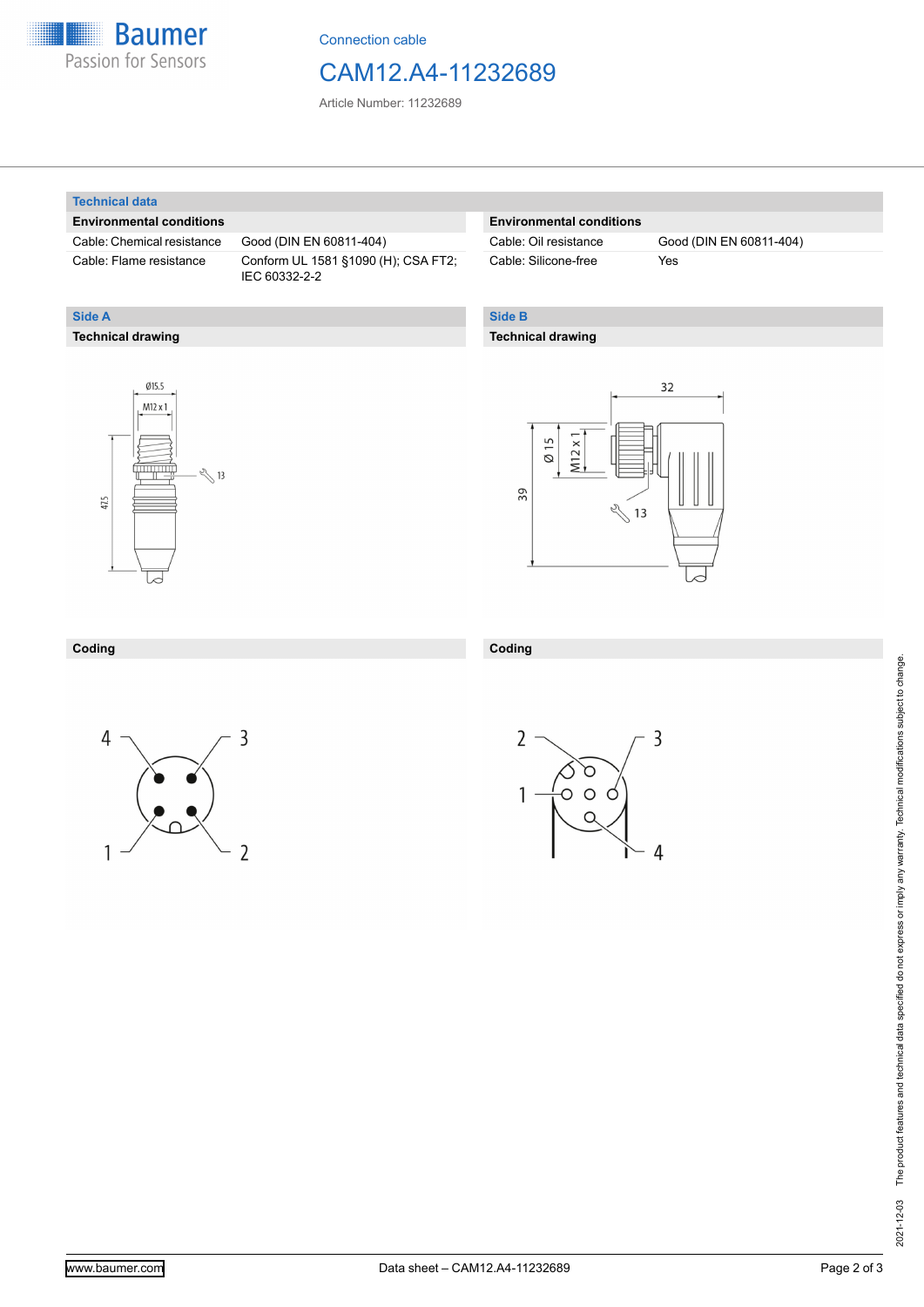

Connection cable

## CAM12.A4-11232689

Article Number: 11232689

#### **Technical data**

**Technical drawing**

**Side A**

#### **Environmental conditions**

Cable: Chemical resistance Good (DIN EN 60811-404)

Cable: Flame resistance Conform UL 1581 §1090 (H); CSA FT2; IEC 60332-2-2

#### **Environmental conditions**

Cable: Silicone-free Yes

Cable: Oil resistance Good (DIN EN 60811-404)

### **Side B**

**Coding**

#### **Technical drawing**





#### **Coding**